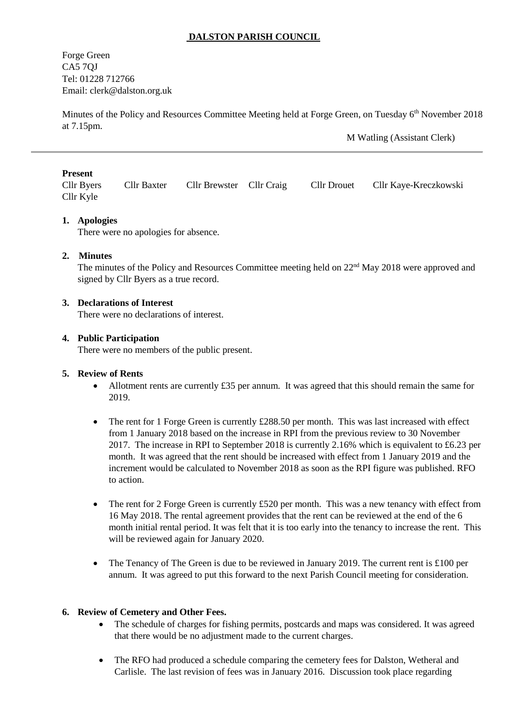# **DALSTON PARISH COUNCIL**

Forge Green CA5 7QJ Tel: 01228 712766 Email: [clerk@dalston.org.uk](mailto:clerk@dalston.org.uk)

Minutes of the Policy and Resources Committee Meeting held at Forge Green, on Tuesday 6<sup>th</sup> November 2018 at 7.15pm.

M Watling (Assistant Clerk)

### **Present**

Cllr Byers Cllr Baxter Cllr Brewster Cllr Craig Cllr Drouet Cllr Kaye-Kreczkowski Cllr Kyle

# **1. Apologies**

There were no apologies for absence.

# **2. Minutes**

The minutes of the Policy and Resources Committee meeting held on 22<sup>nd</sup> May 2018 were approved and signed by Cllr Byers as a true record.

#### **3. Declarations of Interest**

There were no declarations of interest.

#### **4. Public Participation**

There were no members of the public present.

### **5. Review of Rents**

- Allotment rents are currently £35 per annum. It was agreed that this should remain the same for 2019.
- The rent for 1 Forge Green is currently  $\text{\pounds}288.50$  per month. This was last increased with effect from 1 January 2018 based on the increase in RPI from the previous review to 30 November 2017. The increase in RPI to September 2018 is currently 2.16% which is equivalent to £6.23 per month. It was agreed that the rent should be increased with effect from 1 January 2019 and the increment would be calculated to November 2018 as soon as the RPI figure was published. RFO to action.
- The rent for 2 Forge Green is currently £520 per month. This was a new tenancy with effect from 16 May 2018. The rental agreement provides that the rent can be reviewed at the end of the 6 month initial rental period. It was felt that it is too early into the tenancy to increase the rent. This will be reviewed again for January 2020.
- The Tenancy of The Green is due to be reviewed in January 2019. The current rent is £100 per annum. It was agreed to put this forward to the next Parish Council meeting for consideration.

#### **6. Review of Cemetery and Other Fees.**

- The schedule of charges for fishing permits, postcards and maps was considered. It was agreed that there would be no adjustment made to the current charges.
- The RFO had produced a schedule comparing the cemetery fees for Dalston, Wetheral and Carlisle. The last revision of fees was in January 2016. Discussion took place regarding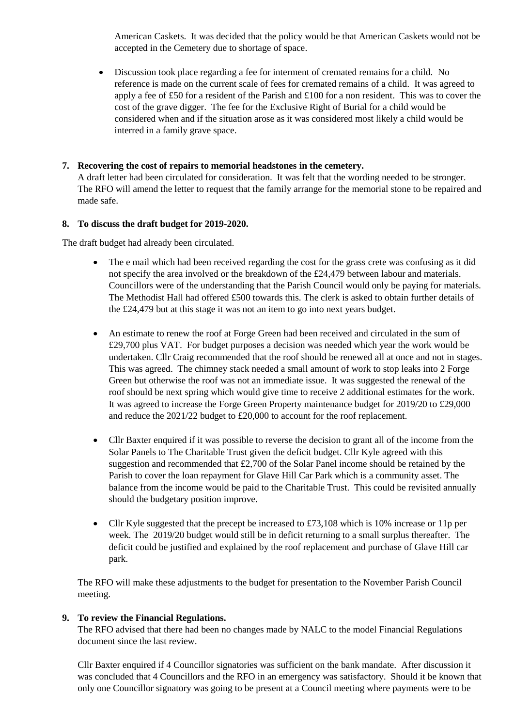American Caskets. It was decided that the policy would be that American Caskets would not be accepted in the Cemetery due to shortage of space.

 Discussion took place regarding a fee for interment of cremated remains for a child. No reference is made on the current scale of fees for cremated remains of a child. It was agreed to apply a fee of £50 for a resident of the Parish and £100 for a non resident. This was to cover the cost of the grave digger. The fee for the Exclusive Right of Burial for a child would be considered when and if the situation arose as it was considered most likely a child would be interred in a family grave space.

# **7. Recovering the cost of repairs to memorial headstones in the cemetery.**

A draft letter had been circulated for consideration. It was felt that the wording needed to be stronger. The RFO will amend the letter to request that the family arrange for the memorial stone to be repaired and made safe.

# **8. To discuss the draft budget for 2019-2020.**

The draft budget had already been circulated.

- The e mail which had been received regarding the cost for the grass crete was confusing as it did not specify the area involved or the breakdown of the £24,479 between labour and materials. Councillors were of the understanding that the Parish Council would only be paying for materials. The Methodist Hall had offered £500 towards this. The clerk is asked to obtain further details of the £24,479 but at this stage it was not an item to go into next years budget.
- An estimate to renew the roof at Forge Green had been received and circulated in the sum of £29,700 plus VAT. For budget purposes a decision was needed which year the work would be undertaken. Cllr Craig recommended that the roof should be renewed all at once and not in stages. This was agreed. The chimney stack needed a small amount of work to stop leaks into 2 Forge Green but otherwise the roof was not an immediate issue. It was suggested the renewal of the roof should be next spring which would give time to receive 2 additional estimates for the work. It was agreed to increase the Forge Green Property maintenance budget for 2019/20 to £29,000 and reduce the 2021/22 budget to £20,000 to account for the roof replacement.
- Cllr Baxter enquired if it was possible to reverse the decision to grant all of the income from the Solar Panels to The Charitable Trust given the deficit budget. Cllr Kyle agreed with this suggestion and recommended that £2,700 of the Solar Panel income should be retained by the Parish to cover the loan repayment for Glave Hill Car Park which is a community asset. The balance from the income would be paid to the Charitable Trust. This could be revisited annually should the budgetary position improve.
- Cllr Kyle suggested that the precept be increased to £73,108 which is 10% increase or 11p per week. The 2019/20 budget would still be in deficit returning to a small surplus thereafter. The deficit could be justified and explained by the roof replacement and purchase of Glave Hill car park.

The RFO will make these adjustments to the budget for presentation to the November Parish Council meeting.

# **9. To review the Financial Regulations.**

The RFO advised that there had been no changes made by NALC to the model Financial Regulations document since the last review.

Cllr Baxter enquired if 4 Councillor signatories was sufficient on the bank mandate. After discussion it was concluded that 4 Councillors and the RFO in an emergency was satisfactory. Should it be known that only one Councillor signatory was going to be present at a Council meeting where payments were to be